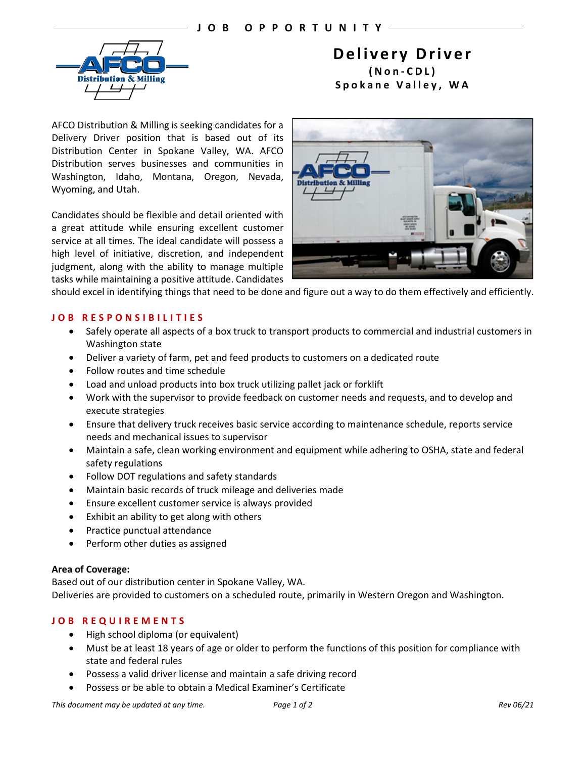

# **Delivery Driver (Non - CDL) Spokane Valley, WA**

AFCO Distribution & Milling is seeking candidates for a Delivery Driver position that is based out of its Distribution Center in Spokane Valley, WA. AFCO Distribution serves businesses and communities in Washington, Idaho, Montana, Oregon, Nevada, Wyoming, and Utah.

Candidates should be flexible and detail oriented with a great attitude while ensuring excellent customer service at all times. The ideal candidate will possess a high level of initiative, discretion, and independent judgment, along with the ability to manage multiple tasks while maintaining a positive attitude. Candidates



should excel in identifying things that need to be done and figure out a way to do them effectively and efficiently.

# **JOB RE SPONSIBILITIES**

- Safely operate all aspects of a box truck to transport products to commercial and industrial customers in Washington state
- Deliver a variety of farm, pet and feed products to customers on a dedicated route
- Follow routes and time schedule
- Load and unload products into box truck utilizing pallet jack or forklift
- Work with the supervisor to provide feedback on customer needs and requests, and to develop and execute strategies
- Ensure that delivery truck receives basic service according to maintenance schedule, reports service needs and mechanical issues to supervisor
- Maintain a safe, clean working environment and equipment while adhering to OSHA, state and federal safety regulations
- Follow DOT regulations and safety standards
- Maintain basic records of truck mileage and deliveries made
- Ensure excellent customer service is always provided
- Exhibit an ability to get along with others
- Practice punctual attendance
- Perform other duties as assigned

## **Area of Coverage:**

Based out of our distribution center in Spokane Valley, WA. Deliveries are provided to customers on a scheduled route, primarily in Western Oregon and Washington.

## **JOB REQUIREMENTS**

- High school diploma (or equivalent)
- Must be at least 18 years of age or older to perform the functions of this position for compliance with state and federal rules
- Possess a valid driver license and maintain a safe driving record
- Possess or be able to obtain a Medical Examiner's Certificate